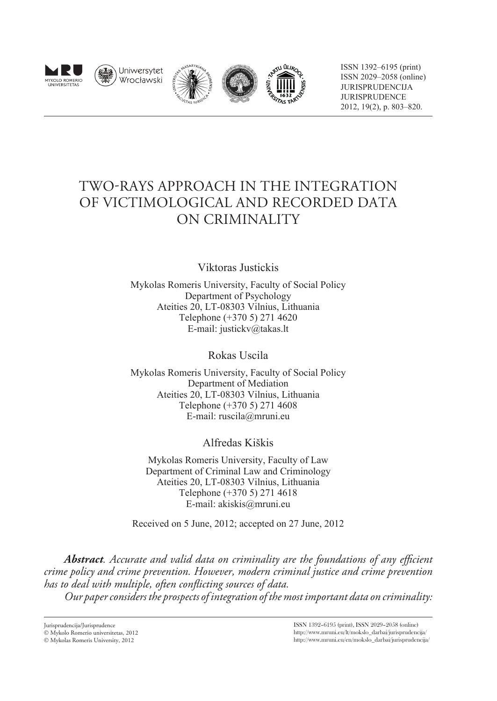







ISSN 1392–6195 (print) ISSN 2029–2058 (online) JURISPRUDENCIJA JURISPRUDENCE 2012, 19(2), p. 803–820.

# TWO-RAYS APPROACH IN THE INTEGRATION OF VICTIMOLOGICAL AND RECORDED DATA ON CRIMINALITY

Viktoras Justickis

Mykolas Romeris University, Faculty of Social Policy Department of Psychology Ateities 20, LT-08303 Vilnius, Lithuania Telephone (+370 5) 271 4620 E-mail: justickv@takas.lt

Rokas Uscila

Mykolas Romeris University, Faculty of Social Policy Department of Mediation Ateities 20, LT-08303 Vilnius, Lithuania Telephone (+370 5) 271 4608 E-mail: ruscila@mruni.eu

Alfredas Kiškis

Mykolas Romeris University, Faculty of Law Department of Criminal Law and Criminology Ateities 20, LT-08303 Vilnius, Lithuania Telephone (+370 5) 271 4618 E-mail: akiskis@mruni.eu

Received on 5 June, 2012; accepted on 27 June, 2012

*Abstract. Accurate and valid data on criminality are the foundations of any efficient crime policy and crime prevention. However, modern criminal justice and crime prevention has to deal with multiple, often conflicting sources of data. Our paper considers the prospects of integration of the most important data on criminality:* 

Jurisprudencija/Jurisprudence Mykolo Romerio universitetas, 2012

Mykolas Romeris University, 2012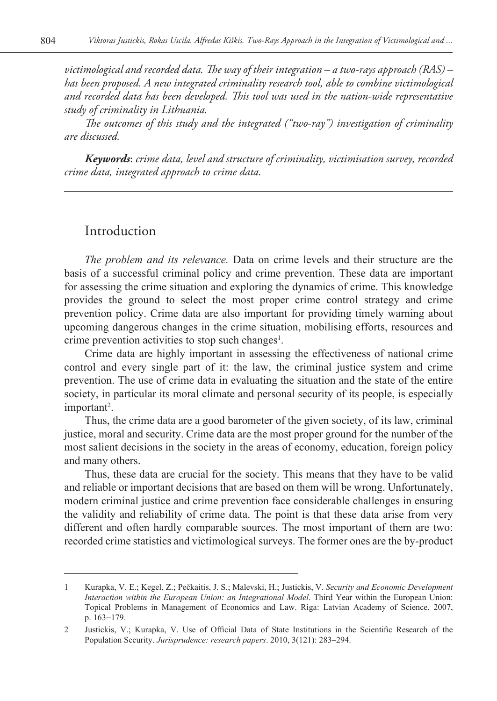*victimological and recorded data. The way of their integration – a two-rays approach (RAS) – has been proposed. A new integrated criminality research tool, able to combine victimological and recorded data has been developed. This tool was used in the nation-wide representative study of criminality in Lithuania.* 

*The outcomes of this study and the integrated ("two-ray") investigation of criminality are discussed.* 

*Keywords*: *crime data, level and structure of criminality, victimisation survey, recorded crime data, integrated approach to crime data.*

### Introduction

*The problem and its relevance.* Data on crime levels and their structure are the basis of a successful criminal policy and crime prevention. These data are important for assessing the crime situation and exploring the dynamics of crime. This knowledge provides the ground to select the most proper crime control strategy and crime prevention policy. Crime data are also important for providing timely warning about upcoming dangerous changes in the crime situation, mobilising efforts, resources and crime prevention activities to stop such changes<sup>1</sup>.

Crime data are highly important in assessing the effectiveness of national crime control and every single part of it: the law, the criminal justice system and crime prevention. The use of crime data in evaluating the situation and the state of the entire society, in particular its moral climate and personal security of its people, is especially important<sup>2</sup>.

Thus, the crime data are a good barometer of the given society, of its law, criminal justice, moral and security. Crime data are the most proper ground for the number of the most salient decisions in the society in the areas of economy, education, foreign policy and many others.

Thus, these data are crucial for the society. This means that they have to be valid and reliable or important decisions that are based on them will be wrong. Unfortunately, modern criminal justice and crime prevention face considerable challenges in ensuring the validity and reliability of crime data. The point is that these data arise from very different and often hardly comparable sources. The most important of them are two: recorded crime statistics and victimological surveys. The former ones are the by-product

<sup>1</sup> Kurapka, V. E.; Kegel, Z.; Pečkaitis, J. S.; Malevski, H.; Justickis, V. *Security and Economic Development Interaction within the European Union: an Integrational Model*. Third Year within the European Union: Topical Problems in Management of Economics and Law. Riga: Latvian Academy of Science, 2007, p. 163−179.

<sup>2</sup> Justickis, V.; Kurapka, V. Use of Official Data of State Institutions in the Scientific Research of the Population Security. *Jurisprudence: research papers*. 2010, 3(121): 283–294.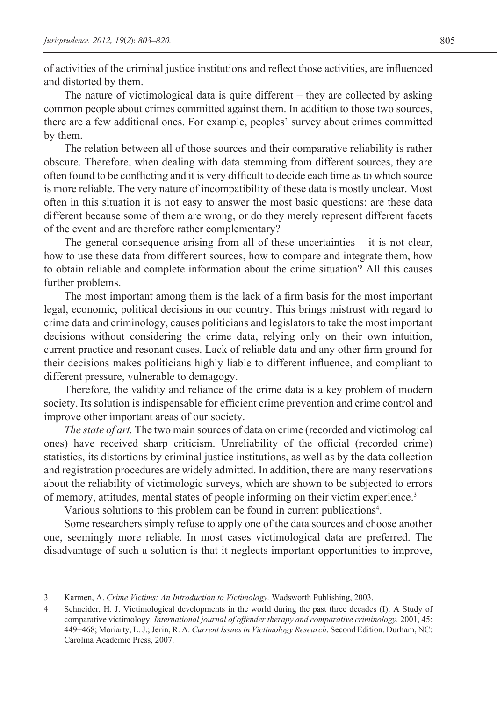of activities of the criminal justice institutions and reflect those activities, are influenced and distorted by them.

The nature of victimological data is quite different – they are collected by asking common people about crimes committed against them. In addition to those two sources, there are a few additional ones. For example, peoples' survey about crimes committed by them.

The relation between all of those sources and their comparative reliability is rather obscure. Therefore, when dealing with data stemming from different sources, they are often found to be conflicting and it is very difficult to decide each time as to which source is more reliable. The very nature of incompatibility of these data is mostly unclear. Most often in this situation it is not easy to answer the most basic questions: are these data different because some of them are wrong, or do they merely represent different facets of the event and are therefore rather complementary?

The general consequence arising from all of these uncertainties – it is not clear, how to use these data from different sources, how to compare and integrate them, how to obtain reliable and complete information about the crime situation? All this causes further problems.

The most important among them is the lack of a firm basis for the most important legal, economic, political decisions in our country. This brings mistrust with regard to crime data and criminology, causes politicians and legislators to take the most important decisions without considering the crime data, relying only on their own intuition, current practice and resonant cases. Lack of reliable data and any other firm ground for their decisions makes politicians highly liable to different influence, and compliant to different pressure, vulnerable to demagogy.

Therefore, the validity and reliance of the crime data is a key problem of modern society. Its solution is indispensable for efficient crime prevention and crime control and improve other important areas of our society.

*The state of art.* The two main sources of data on crime (recorded and victimological ones) have received sharp criticism. Unreliability of the official (recorded crime) statistics, its distortions by criminal justice institutions, as well as by the data collection and registration procedures are widely admitted. In addition, there are many reservations about the reliability of victimologic surveys, which are shown to be subjected to errors of memory, attitudes, mental states of people informing on their victim experience.<sup>3</sup>

Various solutions to this problem can be found in current publications<sup>4</sup>.

Some researchers simply refuse to apply one of the data sources and choose another one, seemingly more reliable. In most cases victimological data are preferred. The disadvantage of such a solution is that it neglects important opportunities to improve,

<sup>3</sup> Karmen, A. *Crime Victims: An Introduction to Victimology.* Wadsworth Publishing, 2003.

<sup>4</sup> Schneider, H. J. Victimological developments in the world during the past three decades (I): A Study of comparative victimology. *International journal of offender therapy and comparative criminology.* 2001, 45: 449−468; Moriarty, L. J.; Jerin, R. A. *Current Issues in Victimology Research*. Second Edition. Durham, NC: Carolina Academic Press, 2007.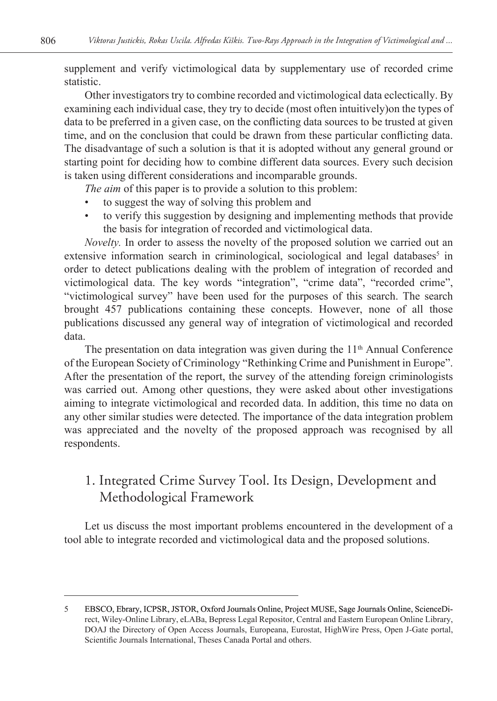supplement and verify victimological data by supplementary use of recorded crime statistic.

Other investigators try to combine recorded and victimological data eclectically. By examining each individual case, they try to decide (most often intuitively)on the types of data to be preferred in a given case, on the conflicting data sources to be trusted at given time, and on the conclusion that could be drawn from these particular conflicting data. The disadvantage of such a solution is that it is adopted without any general ground or starting point for deciding how to combine different data sources. Every such decision is taken using different considerations and incomparable grounds.

*The aim* of this paper is to provide a solution to this problem:

- to suggest the way of solving this problem and
- to verify this suggestion by designing and implementing methods that provide the basis for integration of recorded and victimological data.

*Novelty.* In order to assess the novelty of the proposed solution we carried out an extensive information search in criminological, sociological and legal databases<sup>5</sup> in order to detect publications dealing with the problem of integration of recorded and victimological data. The key words "integration", "crime data", "recorded crime", "victimological survey" have been used for the purposes of this search. The search brought 457 publications containing these concepts. However, none of all those publications discussed any general way of integration of victimological and recorded data.

The presentation on data integration was given during the  $11<sup>th</sup>$  Annual Conference of the European Society of Criminology "Rethinking Crime and Punishment in Europe". After the presentation of the report, the survey of the attending foreign criminologists was carried out. Among other questions, they were asked about other investigations aiming to integrate victimological and recorded data. In addition, this time no data on any other similar studies were detected. The importance of the data integration problem was appreciated and the novelty of the proposed approach was recognised by all respondents.

## 1. Integrated Crime Survey Tool. Its Design, Development and Methodological Framework

Let us discuss the most important problems encountered in the development of a tool able to integrate recorded and victimological data and the proposed solutions.

<sup>5</sup> EBSCO, Ebrary, ICPSR, JSTOR, Oxford Journals Online, Project MUSE, Sage Journals Online, ScienceDirect, Wiley-Online Library, eLABa, Bepress Legal Repositor, Central and Eastern European Online Library, DOAJ the Directory of Open Access Journals, Europeana, Eurostat, HighWire Press, Open J-Gate portal, Scientific Journals International, Theses Canada Portal and others.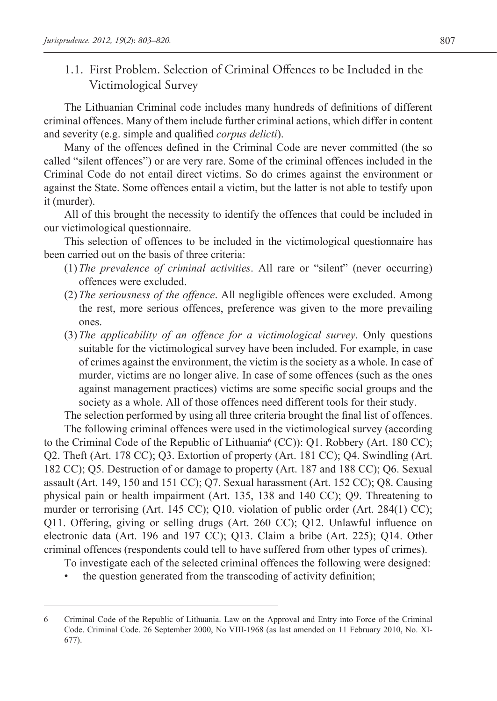1.1. First Problem. Selection of Criminal Offences to be Included in the Victimological Survey

The Lithuanian Criminal code includes many hundreds of definitions of different criminal offences. Many of them include further criminal actions, which differ in content and severity (e.g. simple and qualified *corpus delicti*).

Many of the offences defined in the Criminal Code are never committed (the so called "silent offences") or are very rare. Some of the criminal offences included in the Criminal Code do not entail direct victims. So do crimes against the environment or against the State. Some offences entail a victim, but the latter is not able to testify upon it (murder).

All of this brought the necessity to identify the offences that could be included in our victimological questionnaire.

This selection of offences to be included in the victimological questionnaire has been carried out on the basis of three criteria:

- (1) *The prevalence of criminal activities*. All rare or "silent" (never occurring) offences were excluded.
- (2) *The seriousness of the offence*. All negligible offences were excluded. Among the rest, more serious offences, preference was given to the more prevailing ones.
- (3) *The applicability of an offence for a victimological survey*. Only questions suitable for the victimological survey have been included. For example, in case of crimes against the environment, the victim is the society as a whole. In case of murder, victims are no longer alive. In case of some offences (such as the ones against management practices) victims are some specific social groups and the society as a whole. All of those offences need different tools for their study.

The selection performed by using all three criteria brought the final list of offences. The following criminal offences were used in the victimological survey (according

to the Criminal Code of the Republic of Lithuania<sup>6</sup> (CC)): Q1. Robbery (Art. 180 CC); Q2. Theft (Art. 178 CC); Q3. Extortion of property (Art. 181 CC); Q4. Swindling (Art. 182 CC); Q5. Destruction of or damage to property (Art. 187 and 188 CC); Q6. Sexual assault (Art. 149, 150 and 151 CC); Q7. Sexual harassment (Art. 152 CC); Q8. Causing physical pain or health impairment (Art. 135, 138 and 140 CC); Q9. Threatening to murder or terrorising (Art. 145 CC); Q10. violation of public order (Art. 284(1) CC); Q11. Offering, giving or selling drugs (Art. 260 CC); Q12. Unlawful influence on electronic data (Art. 196 and 197 CC); Q13. Claim a bribe (Art. 225); Q14. Other criminal offences (respondents could tell to have suffered from other types of crimes).

To investigate each of the selected criminal offences the following were designed:

• the question generated from the transcoding of activity definition;

<sup>6</sup> Criminal Code of the Republic of Lithuania. Law on the Approval and Entry into Force of the Criminal Code. Criminal Code. 26 September 2000, No VIII-1968 (as last amended on 11 February 2010, No. XI-677).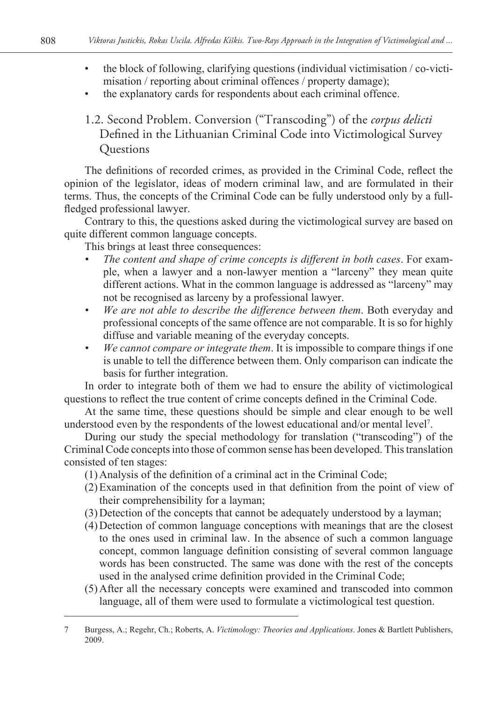- the block of following, clarifying questions (individual victimisation / co-victimisation / reporting about criminal offences / property damage);
- the explanatory cards for respondents about each criminal offence.
- 1.2. Second Problem. Conversion ("Transcoding") of the *corpus delicti*  Defined in the Lithuanian Criminal Code into Victimological Survey **Ouestions**

The definitions of recorded crimes, as provided in the Criminal Code, reflect the opinion of the legislator, ideas of modern criminal law, and are formulated in their terms. Thus, the concepts of the Criminal Code can be fully understood only by a fullfledged professional lawyer.

Contrary to this, the questions asked during the victimological survey are based on quite different common language concepts.

This brings at least three consequences:

- *• The content and shape of crime concepts is different in both cases*. For example, when a lawyer and a non-lawyer mention a "larceny" they mean quite different actions. What in the common language is addressed as "larceny" may not be recognised as larceny by a professional lawyer.
- *• We are not able to describe the difference between them*. Both everyday and professional concepts of the same offence are not comparable. It is so for highly diffuse and variable meaning of the everyday concepts.
- *• We cannot compare or integrate them*. It is impossible to compare things if one is unable to tell the difference between them. Only comparison can indicate the basis for further integration.

In order to integrate both of them we had to ensure the ability of victimological questions to reflect the true content of crime concepts defined in the Criminal Code.

At the same time, these questions should be simple and clear enough to be well understood even by the respondents of the lowest educational and/or mental level7 .

During our study the special methodology for translation ("transcoding") of the Criminal Code concepts into those of common sense has been developed. This translation consisted of ten stages:

- (1) Analysis of the definition of a criminal act in the Criminal Code;
- (2)Examination of the concepts used in that definition from the point of view of their comprehensibility for a layman;
- (3) Detection of the concepts that cannot be adequately understood by a layman;
- (4) Detection of common language conceptions with meanings that are the closest to the ones used in criminal law. In the absence of such a common language concept, common language definition consisting of several common language words has been constructed. The same was done with the rest of the concepts used in the analysed crime definition provided in the Criminal Code;
- (5) After all the necessary concepts were examined and transcoded into common language, all of them were used to formulate a victimological test question.

<sup>7</sup> Burgess, A.; Regehr, Ch.; Roberts, A. *Victimology: Theories and Applications*. Jones & Bartlett Publishers, 2009.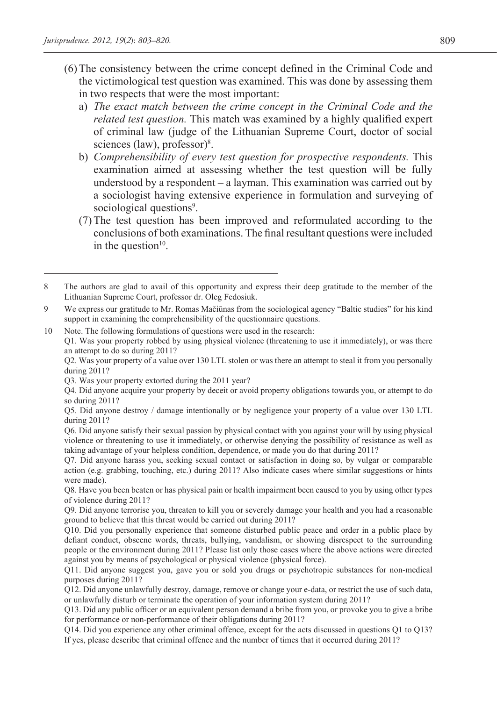- (6)The consistency between the crime concept defined in the Criminal Code and the victimological test question was examined. This was done by assessing them in two respects that were the most important:
	- a) *The exact match between the crime concept in the Criminal Code and the related test question.* This match was examined by a highly qualified expert of criminal law (judge of the Lithuanian Supreme Court, doctor of social sciences (law), professor)<sup>8</sup>.
	- b) *Comprehensibility of every test question for prospective respondents.* This examination aimed at assessing whether the test question will be fully understood by a respondent – a layman. This examination was carried out by a sociologist having extensive experience in formulation and surveying of sociological questions<sup>9</sup>.
	- (7)The test question has been improved and reformulated according to the conclusions of both examinations. The final resultant questions were included in the question $10$ .

<sup>8</sup> The authors are glad to avail of this opportunity and express their deep gratitude to the member of the Lithuanian Supreme Court, professor dr. Oleg Fedosiuk.

<sup>9</sup> We express our gratitude to Mr. Romas Mačiūnas from the sociological agency "Baltic studies" for his kind support in examining the comprehensibility of the questionnaire questions.

<sup>10</sup> Note. The following formulations of questions were used in the research:

Q1. Was your property robbed by using physical violence (threatening to use it immediately), or was there an attempt to do so during 2011?

Q2. Was your property of a value over 130 LTL stolen or was there an attempt to steal it from you personally during 2011?

Q3. Was your property extorted during the 2011 year?

Q4. Did anyone acquire your property by deceit or avoid property obligations towards you, or attempt to do so during 2011?

Q5. Did anyone destroy / damage intentionally or by negligence your property of a value over 130 LTL during 2011?

Q6. Did anyone satisfy their sexual passion by physical contact with you against your will by using physical violence or threatening to use it immediately, or otherwise denying the possibility of resistance as well as taking advantage of your helpless condition, dependence, or made you do that during 2011?

Q7. Did anyone harass you, seeking sexual contact or satisfaction in doing so, by vulgar or comparable action (e.g. grabbing, touching, etc.) during 2011? Also indicate cases where similar suggestions or hints were made).

Q8. Have you been beaten or has physical pain or health impairment been caused to you by using other types of violence during 2011?

Q9. Did anyone terrorise you, threaten to kill you or severely damage your health and you had a reasonable ground to believe that this threat would be carried out during 2011?

Q10. Did you personally experience that someone disturbed public peace and order in a public place by defiant conduct, obscene words, threats, bullying, vandalism, or showing disrespect to the surrounding people or the environment during 2011? Please list only those cases where the above actions were directed against you by means of psychological or physical violence (physical force).

Q11. Did anyone suggest you, gave you or sold you drugs or psychotropic substances for non-medical purposes during 2011?

Q12. Did anyone unlawfully destroy, damage, remove or change your e-data, or restrict the use of such data, or unlawfully disturb or terminate the operation of your information system during 2011?

Q13. Did any public officer or an equivalent person demand a bribe from you, or provoke you to give a bribe for performance or non-performance of their obligations during 2011?

Q14. Did you experience any other criminal offence, except for the acts discussed in questions Q1 to Q13? If yes, please describe that criminal offence and the number of times that it occurred during 2011?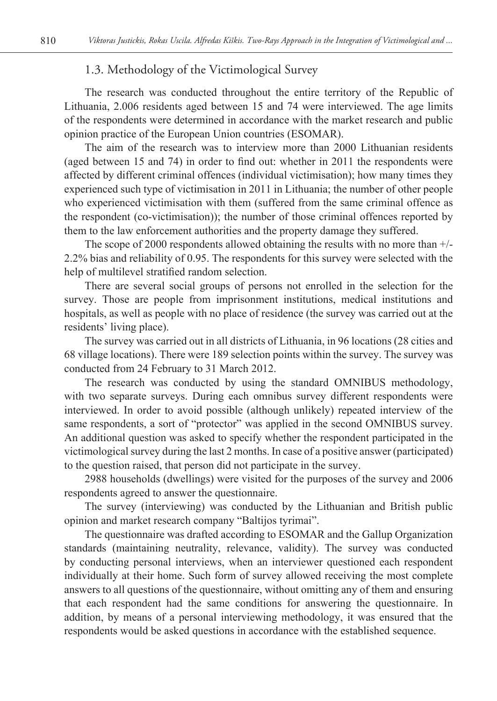### 1.3. Methodology of the Victimological Survey

The research was conducted throughout the entire territory of the Republic of Lithuania, 2.006 residents aged between 15 and 74 were interviewed. The age limits of the respondents were determined in accordance with the market research and public opinion practice of the European Union countries (ESOMAR).

The aim of the research was to interview more than 2000 Lithuanian residents (aged between 15 and 74) in order to find out: whether in 2011 the respondents were affected by different criminal offences (individual victimisation); how many times they experienced such type of victimisation in 2011 in Lithuania; the number of other people who experienced victimisation with them (suffered from the same criminal offence as the respondent (co-victimisation)); the number of those criminal offences reported by them to the law enforcement authorities and the property damage they suffered.

The scope of 2000 respondents allowed obtaining the results with no more than +/- 2.2% bias and reliability of 0.95. The respondents for this survey were selected with the help of multilevel stratified random selection.

There are several social groups of persons not enrolled in the selection for the survey. Those are people from imprisonment institutions, medical institutions and hospitals, as well as people with no place of residence (the survey was carried out at the residents' living place).

The survey was carried out in all districts of Lithuania, in 96 locations (28 cities and 68 village locations). There were 189 selection points within the survey. The survey was conducted from 24 February to 31 March 2012.

The research was conducted by using the standard OMNIBUS methodology, with two separate surveys. During each omnibus survey different respondents were interviewed. In order to avoid possible (although unlikely) repeated interview of the same respondents, a sort of "protector" was applied in the second OMNIBUS survey. An additional question was asked to specify whether the respondent participated in the victimological survey during the last 2 months. In case of a positive answer (participated) to the question raised, that person did not participate in the survey.

2988 households (dwellings) were visited for the purposes of the survey and 2006 respondents agreed to answer the questionnaire.

The survey (interviewing) was conducted by the Lithuanian and British public opinion and market research company "Baltijos tyrimai".

The questionnaire was drafted according to ESOMAR and the Gallup Organization standards (maintaining neutrality, relevance, validity). The survey was conducted by conducting personal interviews, when an interviewer questioned each respondent individually at their home. Such form of survey allowed receiving the most complete answers to all questions of the questionnaire, without omitting any of them and ensuring that each respondent had the same conditions for answering the questionnaire. In addition, by means of a personal interviewing methodology, it was ensured that the respondents would be asked questions in accordance with the established sequence.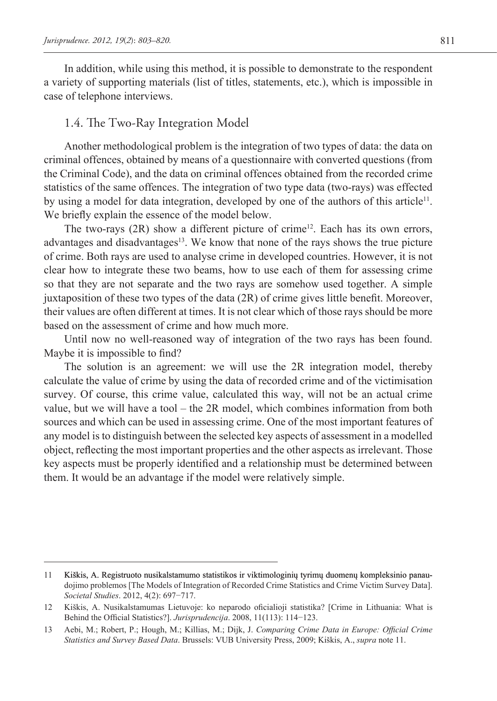In addition, while using this method, it is possible to demonstrate to the respondent a variety of supporting materials (list of titles, statements, etc.), which is impossible in case of telephone interviews.

#### 1.4. The Two-Ray Integration Model

Another methodological problem is the integration of two types of data: the data on criminal offences, obtained by means of a questionnaire with converted questions (from the Criminal Code), and the data on criminal offences obtained from the recorded crime statistics of the same offences. The integration of two type data (two-rays) was effected by using a model for data integration, developed by one of the authors of this article<sup>11</sup>. We briefly explain the essence of the model below.

The two-rays  $(2R)$  show a different picture of crime<sup>12</sup>. Each has its own errors, advantages and disadvantages<sup>13</sup>. We know that none of the rays shows the true picture of crime. Both rays are used to analyse crime in developed countries. However, it is not clear how to integrate these two beams, how to use each of them for assessing crime so that they are not separate and the two rays are somehow used together. A simple juxtaposition of these two types of the data (2R) of crime gives little benefit. Moreover, their values are often different at times. It is not clear which of those rays should be more based on the assessment of crime and how much more.

Until now no well-reasoned way of integration of the two rays has been found. Maybe it is impossible to find?

The solution is an agreement: we will use the 2R integration model, thereby calculate the value of crime by using the data of recorded crime and of the victimisation survey. Of course, this crime value, calculated this way, will not be an actual crime value, but we will have a tool – the 2R model, which combines information from both sources and which can be used in assessing crime. One of the most important features of any model is to distinguish between the selected key aspects of assessment in a modelled object, reflecting the most important properties and the other aspects as irrelevant. Those key aspects must be properly identified and a relationship must be determined between them. It would be an advantage if the model were relatively simple.

<sup>11</sup> Kiškis, A. Registruoto nusikalstamumo statistikos ir viktimologinių tyrimų duomenų kompleksinio panaudojimo problemos [The Models of Integration of Recorded Crime Statistics and Crime Victim Survey Data]. *Societal Studies*. 2012, 4(2): 697−717.

<sup>12</sup> Kiškis, A. Nusikalstamumas Lietuvoje: ko neparodo oficialioji statistika? [Crime in Lithuania: What is Behind the Official Statistics?]. *Jurisprudencija*. 2008, 11(113): 114−123.

<sup>13</sup> Aebi, M.; Robert, P.; Hough, M.; Killias, M.; Dijk, J. *Comparing Crime Data in Europe: Official Crime Statistics and Survey Based Data*. Brussels: VUB University Press, 2009; Kiškis, A., *supra* note 11.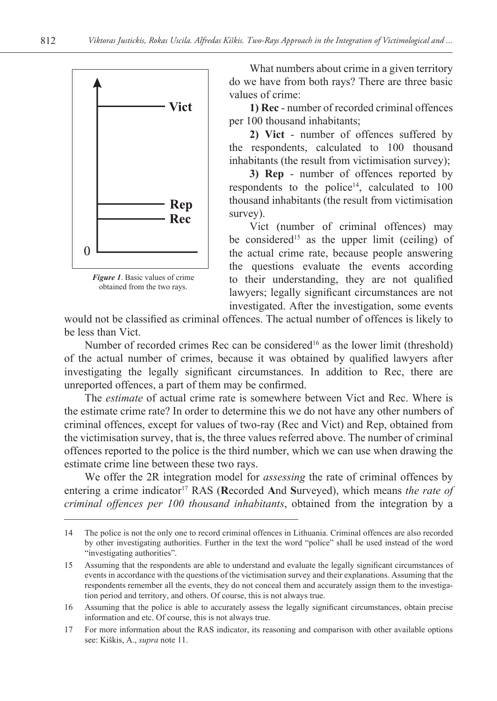

*Figure 1*. Basic values of crime obtained from the two rays.

What numbers about crime in a given territory do we have from both rays? There are three basic values of crime:

**1) Rec** - number of recorded criminal offences per 100 thousand inhabitants;

**2) Vict** - number of offences suffered by the respondents, calculated to 100 thousand inhabitants (the result from victimisation survey);

**3) Rep** - number of offences reported by respondents to the police<sup>14</sup>, calculated to  $100$ thousand inhabitants (the result from victimisation survey).

Vict (number of criminal offences) may be considered<sup>15</sup> as the upper limit (ceiling) of the actual crime rate, because people answering the questions evaluate the events according to their understanding, they are not qualified lawyers; legally significant circumstances are not investigated. After the investigation, some events

would not be classified as criminal offences. The actual number of offences is likely to be less than Vict.

Number of recorded crimes Rec can be considered<sup>16</sup> as the lower limit (threshold) of the actual number of crimes, because it was obtained by qualified lawyers after investigating the legally significant circumstances. In addition to Rec, there are unreported offences, a part of them may be confirmed.

The *estimate* of actual crime rate is somewhere between Vict and Rec. Where is the estimate crime rate? In order to determine this we do not have any other numbers of criminal offences, except for values of two-ray (Rec and Vict) and Rep, obtained from the victimisation survey, that is, the three values referred above. The number of criminal offences reported to the police is the third number, which we can use when drawing the estimate crime line between these two rays.

We offer the 2R integration model for *assessing* the rate of criminal offences by entering a crime indicator<sup>17</sup> RAS (Recorded And Surveyed), which means *the rate of criminal offences per 100 thousand inhabitants*, obtained from the integration by a

<sup>14</sup> The police is not the only one to record criminal offences in Lithuania. Criminal offences are also recorded by other investigating authorities. Further in the text the word "police" shall be used instead of the word "investigating authorities".

<sup>15</sup> Assuming that the respondents are able to understand and evaluate the legally significant circumstances of events in accordance with the questions of the victimisation survey and their explanations. Assuming that the respondents remember all the events, they do not conceal them and accurately assign them to the investigation period and territory, and others. Of course, this is not always true.

<sup>16</sup> Assuming that the police is able to accurately assess the legally significant circumstances, obtain precise information and etc. Of course, this is not always true.

<sup>17</sup> For more information about the RAS indicator, its reasoning and comparison with other available options see: Kiškis, A., *supra* note 11.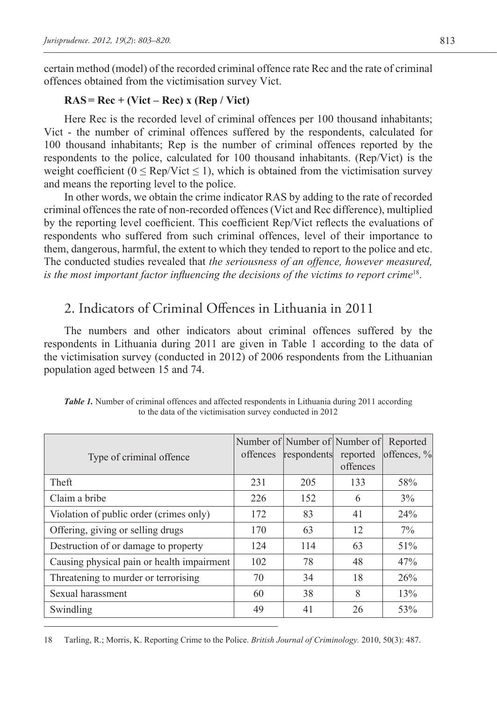certain method (model) of the recorded criminal offence rate Rec and the rate of criminal offences obtained from the victimisation survey Vict.

### **RAS = Rec + (Vict – Rec) x (Rep / Vict)**

Here Rec is the recorded level of criminal offences per 100 thousand inhabitants; Vict - the number of criminal offences suffered by the respondents, calculated for 100 thousand inhabitants; Rep is the number of criminal offences reported by the respondents to the police, calculated for 100 thousand inhabitants. (Rep/Vict) is the weight coefficient ( $0 \leq Rep/Vict \leq 1$ ), which is obtained from the victimisation survey and means the reporting level to the police.

In other words, we obtain the crime indicator RAS by adding to the rate of recorded criminal offences the rate of non-recorded offences (Vict and Rec difference), multiplied by the reporting level coefficient. This coefficient Rep/Vict reflects the evaluations of respondents who suffered from such criminal offences, level of their importance to them, dangerous, harmful, the extent to which they tended to report to the police and etc. The conducted studies revealed that *the seriousness of an offence, however measured, is the most important factor influencing the decisions of the victims to report crime*<sup>18</sup>.

## 2. Indicators of Criminal Offences in Lithuania in 2011

The numbers and other indicators about criminal offences suffered by the respondents in Lithuania during 2011 are given in Table 1 according to the data of the victimisation survey (conducted in 2012) of 2006 respondents from the Lithuanian population aged between 15 and 74.

| Type of criminal offence                   | offences | Number of Number of Number of<br>respondents | reported | Reported<br>offences, % |
|--------------------------------------------|----------|----------------------------------------------|----------|-------------------------|
|                                            |          |                                              | offences |                         |
| Theft                                      | 231      | 205                                          | 133      | 58%                     |
| Claim a bribe                              | 226      | 152                                          | 6        | 3%                      |
| Violation of public order (crimes only)    | 172      | 83                                           | 41       | 24%                     |
| Offering, giving or selling drugs          | 170      | 63                                           | 12       | $7\%$                   |
| Destruction of or damage to property       | 124      | 114                                          | 63       | 51%                     |
| Causing physical pain or health impairment | 102      | 78                                           | 48       | 47%                     |
| Threatening to murder or terrorising       | 70       | 34                                           | 18       | 26%                     |
| Sexual harassment                          | 60       | 38                                           | 8        | 13%                     |
| Swindling                                  | 49       | 41                                           | 26       | 53%                     |

*Table 1.* Number of criminal offences and affected respondents in Lithuania during 2011 according to the data of the victimisation survey conducted in 2012

18 Tarling, R.; Morris, K. Reporting Crime to the Police. *British Journal of Criminology.* 2010, 50(3): 487.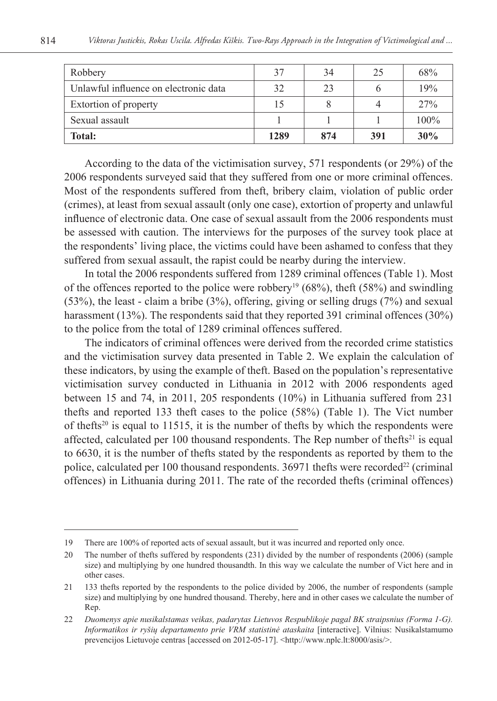| Robbery                               | 37   | 34  | 25  | 68%  |
|---------------------------------------|------|-----|-----|------|
| Unlawful influence on electronic data | 32   | 23  | O   | 19%  |
| Extortion of property                 | 15   |     | 4   | 27%  |
| Sexual assault                        |      |     |     | 100% |
| <b>Total:</b>                         | 1289 | 874 | 391 | 30%  |

According to the data of the victimisation survey, 571 respondents (or 29%) of the 2006 respondents surveyed said that they suffered from one or more criminal offences. Most of the respondents suffered from theft, bribery claim, violation of public order (crimes), at least from sexual assault (only one case), extortion of property and unlawful influence of electronic data. One case of sexual assault from the 2006 respondents must be assessed with caution. The interviews for the purposes of the survey took place at the respondents' living place, the victims could have been ashamed to confess that they suffered from sexual assault, the rapist could be nearby during the interview.

In total the 2006 respondents suffered from 1289 criminal offences (Table 1). Most of the offences reported to the police were robbery<sup>19</sup> (68%), theft (58%) and swindling (53%), the least - claim a bribe (3%), offering, giving or selling drugs (7%) and sexual harassment (13%). The respondents said that they reported 391 criminal offences (30%) to the police from the total of 1289 criminal offences suffered.

The indicators of criminal offences were derived from the recorded crime statistics and the victimisation survey data presented in Table 2. We explain the calculation of these indicators, by using the example of theft. Based on the population's representative victimisation survey conducted in Lithuania in 2012 with 2006 respondents aged between 15 and 74, in 2011, 205 respondents (10%) in Lithuania suffered from 231 thefts and reported 133 theft cases to the police (58%) (Table 1). The Vict number of thefts<sup>20</sup> is equal to 11515, it is the number of thefts by which the respondents were affected, calculated per 100 thousand respondents. The Rep number of thefts<sup>21</sup> is equal to 6630, it is the number of thefts stated by the respondents as reported by them to the police, calculated per 100 thousand respondents.  $36971$  thefts were recorded<sup>22</sup> (criminal offences) in Lithuania during 2011. The rate of the recorded thefts (criminal offences)

<sup>19</sup> There are 100% of reported acts of sexual assault, but it was incurred and reported only once.

<sup>20</sup> The number of thefts suffered by respondents (231) divided by the number of respondents (2006) (sample size) and multiplying by one hundred thousandth. In this way we calculate the number of Vict here and in other cases.

<sup>21</sup> 133 thefts reported by the respondents to the police divided by 2006, the number of respondents (sample size) and multiplying by one hundred thousand. Thereby, here and in other cases we calculate the number of Rep.

<sup>22</sup> *Duomenys apie nusikalstamas veikas, padarytas Lietuvos Respublikoje pagal BK straipsnius (Forma 1-G). Informatikos ir ryšių departamento prie VRM statistinė ataskaita* [interactive]. Vilnius: Nusikalstamumo prevencijos Lietuvoje centras [accessed on 2012-05-17]. <http://www.nplc.lt:8000/asis/>.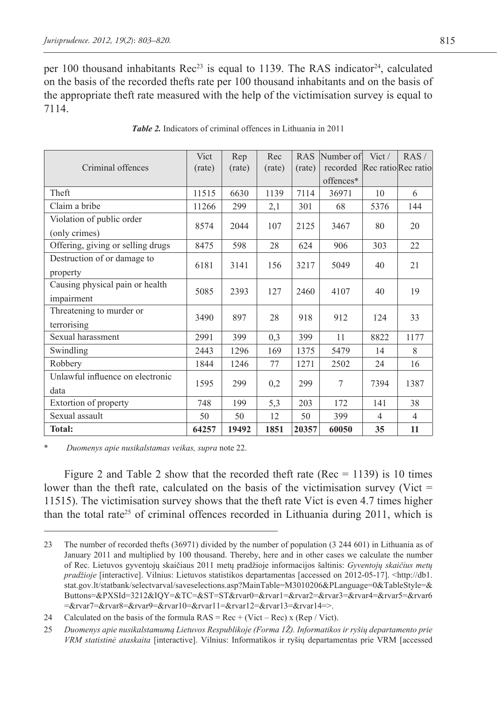per 100 thousand inhabitants  $\text{Rec}^{23}$  is equal to 1139. The RAS indicator<sup>24</sup>, calculated on the basis of the recorded thefts rate per 100 thousand inhabitants and on the basis of the appropriate theft rate measured with the help of the victimisation survey is equal to 7114.

|                                   | Vict   | Rep    | Rec    |        | RAS Number of | Vict/               | RAS/           |
|-----------------------------------|--------|--------|--------|--------|---------------|---------------------|----------------|
| Criminal offences                 | (rate) | (rate) | (rate) | (rate) | recorded      | Rec ratio Rec ratio |                |
|                                   |        |        |        |        | offences*     |                     |                |
| Theft                             | 11515  | 6630   | 1139   | 7114   | 36971         | 10                  | 6              |
| Claim a bribe                     | 11266  | 299    | 2,1    | 301    | 68            | 5376                | 144            |
| Violation of public order         |        |        |        |        |               |                     |                |
| (only crimes)                     | 8574   | 2044   | 107    | 2125   | 3467          | 80                  | 20             |
| Offering, giving or selling drugs | 8475   | 598    | 28     | 624    | 906           | 303                 | 22             |
| Destruction of or damage to       |        |        |        |        |               |                     |                |
| property                          | 6181   | 3141   | 156    | 3217   | 5049          | 40                  | 21             |
| Causing physical pain or health   |        |        |        |        |               |                     |                |
| impairment                        | 5085   | 2393   | 127    | 2460   | 4107          | 40                  | 19             |
| Threatening to murder or          |        |        |        |        |               |                     |                |
| terrorising                       | 3490   | 897    | 28     | 918    | 912           | 124                 | 33             |
| Sexual harassment                 | 2991   | 399    | 0,3    | 399    | 11            | 8822                | 1177           |
| Swindling                         | 2443   | 1296   | 169    | 1375   | 5479          | 14                  | 8              |
| Robbery                           | 1844   | 1246   | 77     | 1271   | 2502          | 24                  | 16             |
| Unlawful influence on electronic  |        |        |        |        |               |                     |                |
| data                              | 1595   | 299    | 0,2    | 299    | 7             | 7394                | 1387           |
| Extortion of property             | 748    | 199    | 5,3    | 203    | 172           | 141                 | 38             |
| Sexual assault                    | 50     | 50     | 12     | 50     | 399           | $\overline{4}$      | $\overline{4}$ |
| <b>Total:</b>                     | 64257  | 19492  | 1851   | 20357  | 60050         | 35                  | 11             |

|  | <b>Table 2.</b> Indicators of criminal offences in Lithuania in 2011 |  |  |  |  |  |  |  |
|--|----------------------------------------------------------------------|--|--|--|--|--|--|--|
|--|----------------------------------------------------------------------|--|--|--|--|--|--|--|

\* *Duomenys apie nusikalstamas veikas, supra* note 22.

Figure 2 and Table 2 show that the recorded theft rate (Rec  $= 1139$ ) is 10 times lower than the theft rate, calculated on the basis of the victimisation survey (Vict  $=$ 11515). The victimisation survey shows that the theft rate Vict is even 4.7 times higher than the total rate25 of criminal offences recorded in Lithuania during 2011, which is

<sup>23</sup> The number of recorded thefts (36971) divided by the number of population (3 244 601) in Lithuania as of January 2011 and multiplied by 100 thousand. Thereby, here and in other cases we calculate the number of Rec. Lietuvos gyventojų skaičiaus 2011 metų pradžioje informacijos šaltinis: *Gyventojų skaičius metų pradžioje* [interactive]. Vilnius: Lietuvos statistikos departamentas [accessed on 2012-05-17]. <http://db1. stat.gov.lt/statbank/selectvarval/saveselections.asp?MainTable=M3010206&PLanguage=0&TableStyle=& Buttons=&PXSId=3212&IQY=&TC=&ST=ST&rvar0=&rvar1=&rvar2=&rvar3=&rvar4=&rvar5=&rvar6 =&rvar7=&rvar8=&rvar9=&rvar10=&rvar11=&rvar12=&rvar13=&rvar14=>.

<sup>24</sup> Calculated on the basis of the formula  $RAS = Rec + (Vict - Rec) \times (Rep / Vict)$ .

<sup>25</sup> *Duomenys apie nusikalstamumą Lietuvos Respublikoje (Forma 1Ž). Informatikos ir ryšių departamento prie VRM statistinė ataskaita* [interactive]. Vilnius: Informatikos ir ryšių departamentas prie VRM [accessed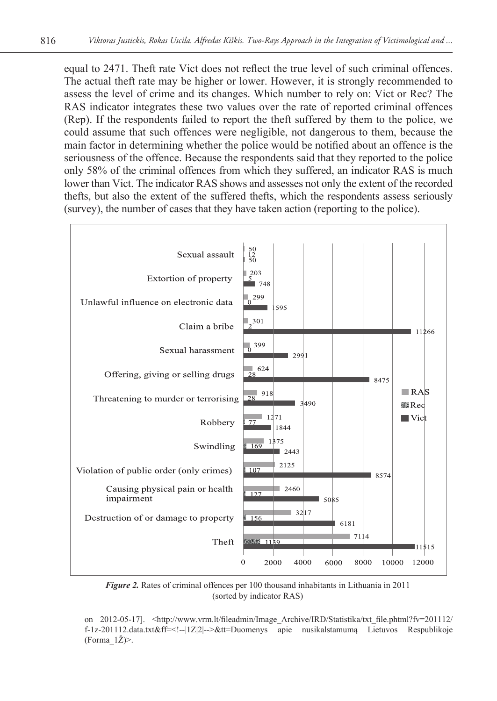equal to 2471. Theft rate Vict does not reflect the true level of such criminal offences. The actual theft rate may be higher or lower. However, it is strongly recommended to assess the level of crime and its changes. Which number to rely on: Vict or Rec? The RAS indicator integrates these two values over the rate of reported criminal offences (Rep). If the respondents failed to report the theft suffered by them to the police, we could assume that such offences were negligible, not dangerous to them, because the main factor in determining whether the police would be notified about an offence is the seriousness of the offence. Because the respondents said that they reported to the police only 58% of the criminal offences from which they suffered, an indicator RAS is much lower than Vict. The indicator RAS shows and assesses not only the extent of the recorded thefts, but also the extent of the suffered thefts, which the respondents assess seriously (survey), the number of cases that they have taken action (reporting to the police).



*Figure 2.* Rates of criminal offences per 100 thousand inhabitants in Lithuania in 2011 (sorted by indicator RAS)

on 2012-05-17]. <http://www.vrm.lt/fileadmin/Image\_Archive/IRD/Statistika/txt\_file.phtml?fv=201112/ f-1z-201112.data.txt&ff=<!--|1Z|2|-->&tt=Duomenys apie nusikalstamumą Lietuvos Respublikoje (Forma\_1Ž)>.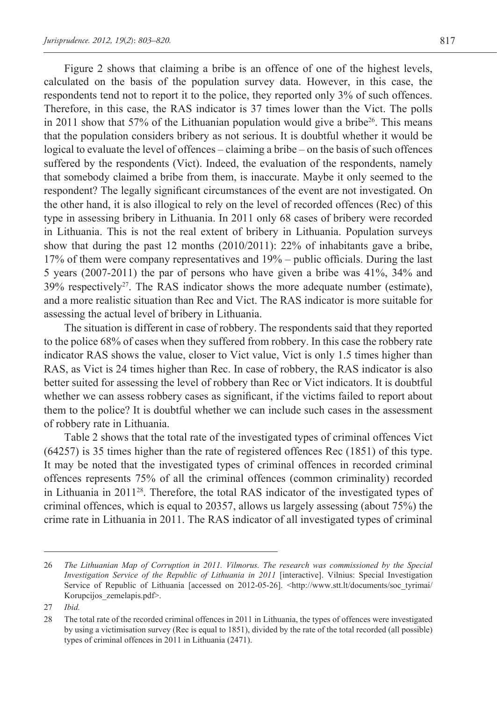Figure 2 shows that claiming a bribe is an offence of one of the highest levels, calculated on the basis of the population survey data. However, in this case, the respondents tend not to report it to the police, they reported only 3% of such offences. Therefore, in this case, the RAS indicator is 37 times lower than the Vict. The polls in 2011 show that 57% of the Lithuanian population would give a bribe<sup>26</sup>. This means that the population considers bribery as not serious. It is doubtful whether it would be logical to evaluate the level of offences – claiming a bribe – on the basis of such offences suffered by the respondents (Vict). Indeed, the evaluation of the respondents, namely that somebody claimed a bribe from them, is inaccurate. Maybe it only seemed to the respondent? The legally significant circumstances of the event are not investigated. On the other hand, it is also illogical to rely on the level of recorded offences (Rec) of this type in assessing bribery in Lithuania. In 2011 only 68 cases of bribery were recorded in Lithuania. This is not the real extent of bribery in Lithuania. Population surveys show that during the past 12 months (2010/2011): 22% of inhabitants gave a bribe, 17% of them were company representatives and 19% – public officials. During the last 5 years (2007-2011) the par of persons who have given a bribe was 41%, 34% and  $39\%$  respectively<sup>27</sup>. The RAS indicator shows the more adequate number (estimate),

and a more realistic situation than Rec and Vict. The RAS indicator is more suitable for assessing the actual level of bribery in Lithuania.

The situation is different in case of robbery. The respondents said that they reported to the police 68% of cases when they suffered from robbery. In this case the robbery rate indicator RAS shows the value, closer to Vict value, Vict is only 1.5 times higher than RAS, as Vict is 24 times higher than Rec. In case of robbery, the RAS indicator is also better suited for assessing the level of robbery than Rec or Vict indicators. It is doubtful whether we can assess robbery cases as significant, if the victims failed to report about them to the police? It is doubtful whether we can include such cases in the assessment of robbery rate in Lithuania.

Table 2 shows that the total rate of the investigated types of criminal offences Vict (64257) is 35 times higher than the rate of registered offences Rec (1851) of this type. It may be noted that the investigated types of criminal offences in recorded criminal offences represents 75% of all the criminal offences (common criminality) recorded in Lithuania in  $2011^{28}$ . Therefore, the total RAS indicator of the investigated types of criminal offences, which is equal to 20357, allows us largely assessing (about 75%) the crime rate in Lithuania in 2011. The RAS indicator of all investigated types of criminal

<sup>26</sup> *The Lithuanian Map of Corruption in 2011. Vilmorus. The research was commissioned by the Special Investigation Service of the Republic of Lithuania in 2011* [interactive]. Vilnius: Special Investigation Service of Republic of Lithuania [accessed on 2012-05-26]. <http://www.stt.lt/documents/soc\_tyrimai/ Korupcijos\_zemelapis.pdf>.

<sup>27</sup> *Ibid.*

<sup>28</sup> The total rate of the recorded criminal offences in 2011 in Lithuania, the types of offences were investigated by using a victimisation survey (Rec is equal to 1851), divided by the rate of the total recorded (all possible) types of criminal offences in 2011 in Lithuania (2471).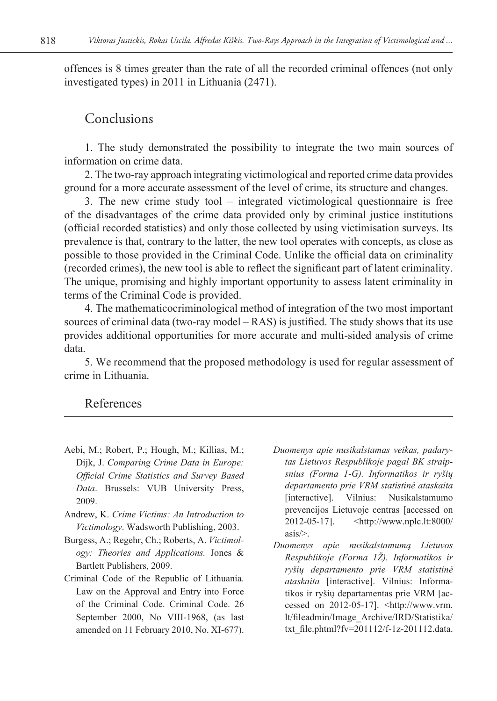offences is 8 times greater than the rate of all the recorded criminal offences (not only investigated types) in 2011 in Lithuania (2471).

### Conclusions

1. The study demonstrated the possibility to integrate the two main sources of information on crime data.

2. The two-ray approach integrating victimological and reported crime data provides ground for a more accurate assessment of the level of crime, its structure and changes.

3. The new crime study tool – integrated victimological questionnaire is free of the disadvantages of the crime data provided only by criminal justice institutions (official recorded statistics) and only those collected by using victimisation surveys. Its prevalence is that, contrary to the latter, the new tool operates with concepts, as close as possible to those provided in the Criminal Code. Unlike the official data on criminality (recorded crimes), the new tool is able to reflect the significant part of latent criminality. The unique, promising and highly important opportunity to assess latent criminality in terms of the Criminal Code is provided.

4. The mathematicocriminological method of integration of the two most important sources of criminal data (two-ray model – RAS) is justified. The study shows that its use provides additional opportunities for more accurate and multi-sided analysis of crime data.

5. We recommend that the proposed methodology is used for regular assessment of crime in Lithuania.

### References

- Aebi, M.; Robert, P.; Hough, M.; Killias, M.; Dijk, J. *Comparing Crime Data in Europe: Official Crime Statistics and Survey Based Data*. Brussels: VUB University Press, 2009.
- Andrew, K. *Crime Victims: An Introduction to Victimology*. Wadsworth Publishing, 2003.
- Burgess, A.; Regehr, Ch.; Roberts, A. *Victimology: Theories and Applications.* Jones & Bartlett Publishers, 2009.
- Criminal Code of the Republic of Lithuania. Law on the Approval and Entry into Force of the Criminal Code. Criminal Code. 26 September 2000, No VIII-1968, (as last amended on 11 February 2010, No. XI-677).
- *Duomenys apie nusikalstamas veikas, padarytas Lietuvos Respublikoje pagal BK straipsnius (Forma 1-G). Informatikos ir ryšių departamento prie VRM statistinė ataskaita* [interactive]. Vilnius: Nusikalstamumo prevencijos Lietuvoje centras [accessed on 2012-05-17]. <http://www.nplc.lt:8000/ asis/>.
- *Duomenys apie nusikalstamumą Lietuvos Respublikoje (Forma 1Ž). Informatikos ir ryšių departamento prie VRM statistinė ataskaita* [interactive]. Vilnius: Informatikos ir ryšių departamentas prie VRM [accessed on 2012-05-17]. <http://www.vrm. lt/fileadmin/Image\_Archive/IRD/Statistika/ txt\_file.phtml?fv=201112/f-1z-201112.data.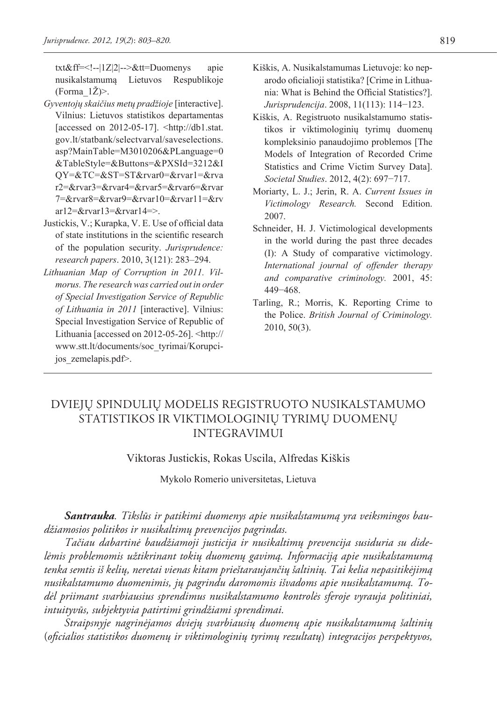txt&ff=<!--|1Z|2|-->&tt=Duomenys apie nusikalstamumą Lietuvos Respublikoje (Forma  $1\angle Z$ )>.

- *Gyventojų skaičius metų pradžioje* [interactive]. Vilnius: Lietuvos statistikos departamentas [accessed on 2012-05-17]. <http://db1.stat. gov.lt/statbank/selectvarval/saveselections. asp?MainTable=M3010206&PLanguage=0 &TableStyle=&Buttons=&PXSId=3212&I QY=&TC=&ST=ST&rvar0=&rvar1=&rva r2=&rvar3=&rvar4=&rvar5=&rvar6=&rvar 7=&rvar8=&rvar9=&rvar10=&rvar11=&rv ar12=&rvar13=&rvar14=>.
- Justickis, V.; Kurapka, V. E. Use of official data of state institutions in the scientific research of the population security. *Jurisprudence: research papers*. 2010, 3(121): 283–294.
- *Lithuanian Map of Corruption in 2011. Vilmorus. The research was carried out in order of Special Investigation Service of Republic of Lithuania in 2011* [interactive]. Vilnius: Special Investigation Service of Republic of Lithuania [accessed on 2012-05-26]. <http:// www.stt.lt/documents/soc\_tyrimai/Korupcijos\_zemelapis.pdf>.
- Kiškis, A. Nusikalstamumas Lietuvoje: ko neparodo oficialioji statistika? [Crime in Lithuania: What is Behind the Official Statistics?]. *Jurisprudencija*. 2008, 11(113): 114−123.
- Kiškis, A. Registruoto nusikalstamumo statistikos ir viktimologinių tyrimų duomenų kompleksinio panaudojimo problemos [The Models of Integration of Recorded Crime Statistics and Crime Victim Survey Data]. *Societal Studies*. 2012, 4(2): 697−717.
- Moriarty, L. J.; Jerin, R. A. *Current Issues in Victimology Research.* Second Edition. 2007.
- Schneider, H. J. Victimological developments in the world during the past three decades (I): A Study of comparative victimology. *International journal of offender therapy and comparative criminology.* 2001, 45: 449−468.
- Tarling, R.; Morris, K. Reporting Crime to the Police. *British Journal of Criminology.* 2010, 50(3).

## DVIEJŲ SPINDULIŲ MODELIS REGISTRUOTO NUSIKALSTAMUMO STATISTIKOS IR VIKTIMOLOGINIŲ TYRIMŲ DUOMENŲ INTEGRAVIMUI

#### Viktoras Justickis, Rokas Uscila, Alfredas Kiškis

Mykolo Romerio universitetas, Lietuva

*Santrauka. Tikslūs ir patikimi duomenys apie nusikalstamumą yra veiksmingos baudžiamosios politikos ir nusikaltimų prevencijos pagrindas.* 

*Tačiau dabartinė baudžiamoji justicija ir nusikaltimų prevencija susiduria su didelėmis problemomis užtikrinant tokių duomenų gavimą. Informaciją apie nusikalstamumą tenka semtis iš kelių, neretai vienas kitam prieštaraujančių šaltinių. Tai kelia nepasitikėjimą nusikalstamumo duomenimis, jų pagrindu daromomis išvadoms apie nusikalstamumą. Todėl priimant svarbiausius sprendimus nusikalstamumo kontrolės sferoje vyrauja politiniai, intuityvūs, subjektyvia patirtimi grindžiami sprendimai.* 

*Straipsnyje nagrinėjamos dviejų svarbiausių duomenų apie nusikalstamumą šaltinių*  (*oficialios statistikos duomenų ir viktimologinių tyrimų rezultatų*) *integracijos perspektyvos,*